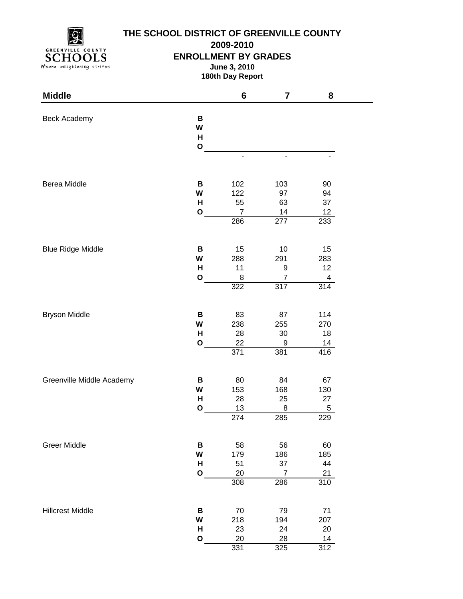**GREENVILLE COUNTY** SCHOOLS Where enlightening strikes

## **THE SCHOOL DISTRICT OF GREENVILLE COUNTY**

**2009-2010**

## **ENROLLMENT BY GRADES**

**June 3, 2010**

**180th Day Report**

| <b>Middle</b>             |              | 6                     | $\overline{\mathbf{7}}$ | 8         |
|---------------------------|--------------|-----------------------|-------------------------|-----------|
| Beck Academy              | В<br>W<br>Н  |                       |                         |           |
|                           | $\mathbf O$  |                       |                         |           |
|                           |              | $\blacksquare$        | $\blacksquare$          |           |
| Berea Middle              | В            | 102                   | 103                     | 90        |
|                           | W            | 122                   | 97                      | 94        |
|                           | H            | 55                    | 63                      | 37        |
|                           | O            | $\overline{7}$<br>286 | 14<br>277               | 12<br>233 |
|                           |              |                       |                         |           |
| <b>Blue Ridge Middle</b>  | B            | 15                    | 10                      | 15        |
|                           | W            | 288                   | 291                     | 283       |
|                           | H            | 11                    | 9                       | 12        |
|                           | O            | 8                     | $\overline{7}$          | 4         |
|                           |              | 322                   | 317                     | 314       |
| <b>Bryson Middle</b>      | В            | 83                    | 87                      | 114       |
|                           | W            | 238                   | 255                     | 270       |
|                           | Н            | 28                    | $30\,$                  | 18        |
|                           | $\mathbf{o}$ | 22                    | $\boldsymbol{9}$        | 14        |
|                           |              | 371                   | 381                     | 416       |
| Greenville Middle Academy | В            | 80                    | 84                      | 67        |
|                           | W            | 153                   | 168                     | 130       |
|                           | H            | 28                    | 25                      | 27        |
|                           | $\mathbf{o}$ | 13                    | 8                       | 5         |
|                           |              | $\overline{274}$      | 285                     | 229       |
| <b>Greer Middle</b>       | В            | 58                    | 56                      | 60        |
|                           | W            | 179                   | 186                     | 185       |
|                           | н            | 51                    | 37                      | 44        |
|                           | O            | 20                    | $\overline{7}$          | 21        |
|                           |              | 308                   | 286                     | 310       |
| <b>Hillcrest Middle</b>   | В            | 70                    | 79                      | 71        |
|                           | W            | 218                   | 194                     | 207       |
|                           | Н            | 23                    | 24                      | 20        |
|                           | O            | 20                    | 28                      | 14        |
|                           |              | 331                   | 325                     | 312       |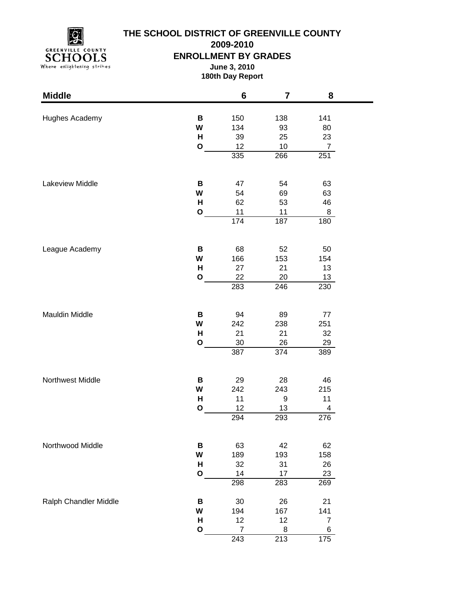

# **THE SCHOOL DISTRICT OF GREENVILLE COUNTY**

**2009-2010**

**ENROLLMENT BY GRADES**

**June 3, 2010 180th Day Report**

| <b>Middle</b>         |              | 6         | $\overline{\mathbf{7}}$ | 8              |  |
|-----------------------|--------------|-----------|-------------------------|----------------|--|
| Hughes Academy        | B            | 150       | 138                     | 141            |  |
|                       | W            | 134       | 93                      | 80             |  |
|                       | H            | 39        | 25                      | 23             |  |
|                       | $\mathbf O$  | 12        | 10                      | $\overline{7}$ |  |
|                       |              | 335       | 266                     | 251            |  |
| Lakeview Middle       |              |           |                         |                |  |
|                       | B<br>W       | 47<br>54  | 54<br>69                | 63             |  |
|                       | н            | 62        | 53                      | 63<br>46       |  |
|                       | $\mathbf{o}$ | 11        | 11                      | 8              |  |
|                       |              | 174       | 187                     | 180            |  |
|                       |              |           |                         |                |  |
| League Academy        | B            | 68        | 52                      | 50             |  |
|                       | W<br>н       | 166<br>27 | 153<br>21               | 154<br>13      |  |
|                       | $\mathbf{o}$ | 22        | 20                      | 13             |  |
|                       |              | 283       | 246                     | 230            |  |
|                       |              |           |                         |                |  |
| Mauldin Middle        | B            | 94        | 89                      | 77             |  |
|                       | W            | 242       | 238                     | 251            |  |
|                       | H            | 21        | 21                      | 32             |  |
|                       | $\mathbf{o}$ | $30\,$    | 26                      | 29             |  |
|                       |              | 387       | 374                     | 389            |  |
| Northwest Middle      | B            | 29        | 28                      | 46             |  |
|                       | W            | 242       | 243                     | 215            |  |
|                       | H            | 11        | 9                       | 11             |  |
|                       | $\mathbf{o}$ | 12        | 13                      | 4              |  |
|                       |              | 294       | 293                     | 276            |  |
| Northwood Middle      | B            | 63        | 42                      | 62             |  |
|                       | W            | 189       | 193                     | 158            |  |
|                       | Н            | 32        | 31                      | 26             |  |
|                       | $\mathbf{o}$ | 14        | 17                      | 23             |  |
|                       |              | 298       | 283                     | 269            |  |
| Ralph Chandler Middle | В            | 30        | 26                      | 21             |  |
|                       | W            | 194       | 167                     | 141            |  |
|                       | H            | 12        | 12                      | $\overline{7}$ |  |
|                       | $\mathbf{o}$ | 7         | 8                       | 6              |  |
|                       |              | 243       | 213                     | 175            |  |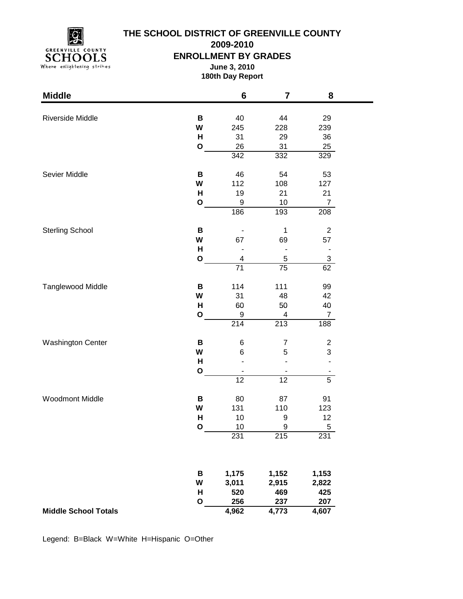**GREENVILLE COUNTY** SCHOOLS Where enlightening strikes

## **THE SCHOOL DISTRICT OF GREENVILLE COUNTY**

**2009-2010**

#### **ENROLLMENT BY GRADES**

**June 3, 2010 180th Day Report**

| <b>Middle</b>               |              | $\bf 6$         | 7                | 8                        |  |
|-----------------------------|--------------|-----------------|------------------|--------------------------|--|
|                             | B            | 40              | 44               | 29                       |  |
| Riverside Middle            | W            | 245             | 228              | 239                      |  |
|                             | H            | 31              | 29               | 36                       |  |
|                             | $\mathbf O$  | 26              | 31               | 25                       |  |
|                             |              | 342             | 332              | 329                      |  |
| Sevier Middle               | B            | 46              | 54               | 53                       |  |
|                             | W            | 112             | 108              | 127                      |  |
|                             | н            | 19              | 21               | 21                       |  |
|                             | $\mathbf 0$  | 9               | 10               | $\overline{7}$           |  |
|                             |              | 186             | 193              | 208                      |  |
| <b>Sterling School</b>      | B            |                 | $\mathbf 1$      | $\sqrt{2}$               |  |
|                             | W            | 67              | 69               | 57                       |  |
|                             | $\mathsf{H}$ |                 |                  | $\overline{\phantom{0}}$ |  |
|                             | $\mathbf 0$  | 4               | 5                | 3                        |  |
|                             |              | $\overline{71}$ | $\overline{75}$  | 62                       |  |
| Tanglewood Middle           | B            | 114             | 111              | 99                       |  |
|                             | W            | 31              | 48               | 42                       |  |
|                             | H            | 60              | 50               | 40                       |  |
|                             | $\mathbf{o}$ | 9               | 4                | $\overline{7}$           |  |
|                             |              | 214             | $\overline{213}$ | 188                      |  |
| <b>Washington Center</b>    | B            | 6               | $\overline{7}$   | $\overline{c}$           |  |
|                             | W            | 6               | 5                | 3                        |  |
|                             | H            |                 |                  |                          |  |
|                             | $\mathbf{o}$ |                 |                  |                          |  |
|                             |              | 12              | 12               | $\overline{5}$           |  |
| <b>Woodmont Middle</b>      | B            | 80              | 87               | 91                       |  |
|                             | W            | 131             | 110              | 123                      |  |
|                             | H            | 10              | 9                | 12                       |  |
|                             | C            | 1 <sub>0</sub>  | a                | 5                        |  |
|                             |              | 231             | $\overline{215}$ | 231                      |  |
|                             | B            | 1,175           | 1,152            | 1,153                    |  |
|                             | W            | 3,011           | 2,915            | 2,822                    |  |
|                             | Н            | 520             | 469              | 425                      |  |
|                             | $\mathbf{o}$ | 256             | 237              | 207                      |  |
| <b>Middle School Totals</b> |              | 4,962           | 4,773            | 4,607                    |  |
|                             |              |                 |                  |                          |  |

Legend: B=Black W=White H=Hispanic O=Other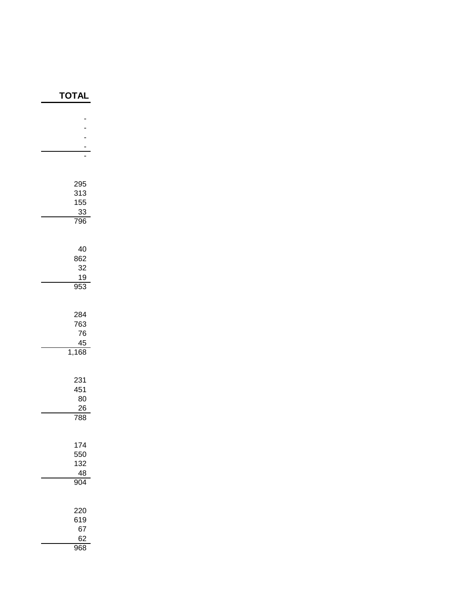| <b>TOTAL</b> |
|--------------|
|              |
|              |
|              |
|              |
|              |
|              |
| 295          |
| 313          |
| 155          |
| 33<br>796    |
|              |
|              |
| 40           |
| 862<br>32    |
| 19           |
| 953          |
|              |
| 284          |
| 763          |
| 76           |
| 45           |
| 1,168        |
|              |
| 231          |
| 451<br>80    |
| 26           |
| 788          |
|              |
| 174          |
| 550          |
| 132          |
| 48<br>904    |
|              |
|              |
| 220          |
| 619<br>67    |
| 62           |
| 968          |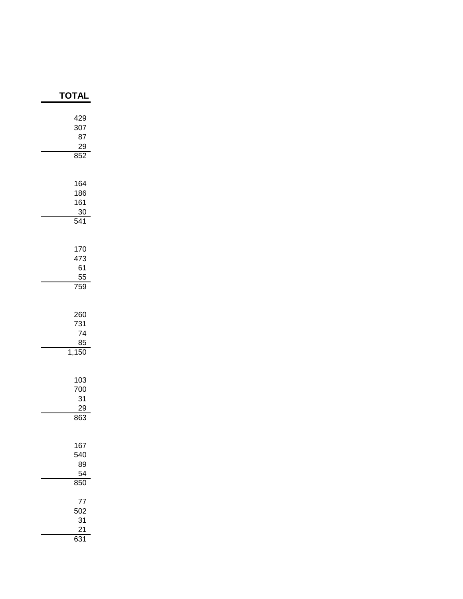| ΓΟΤΑΙ                                  |
|----------------------------------------|
| 429<br>307<br>87<br>29<br>852          |
| 164<br>186<br>161<br>30<br>541         |
| 170<br>473<br>61<br>$\frac{55}{759}$   |
| 260<br>731<br>74<br>$\frac{85}{1,150}$ |
| 103<br>700<br>31<br>29<br>863          |
| 167<br>540<br>89<br>54<br>850          |
| 77<br>502<br>31<br>21<br>631           |